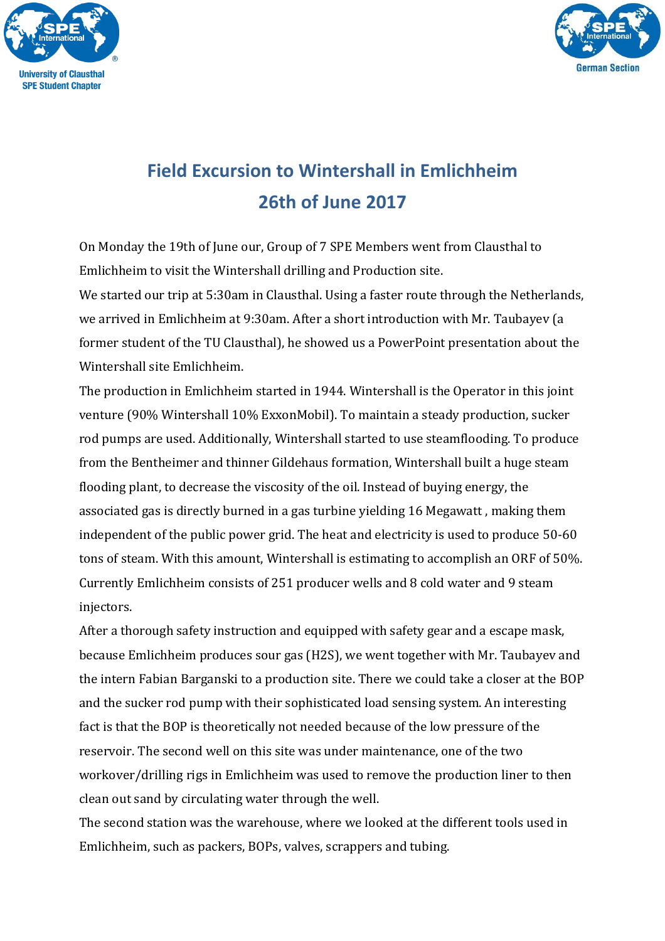



## **Field Excursion to Wintershall in Emlichheim 26th of June 2017**

On Monday the 19th of June our, Group of 7 SPE Members went from Clausthal to Emlichheim to visit the Wintershall drilling and Production site.

We started our trip at 5:30am in Clausthal. Using a faster route through the Netherlands, we arrived in Emlichheim at 9:30am. After a short introduction with Mr. Taubayev (a former student of the TU Clausthal), he showed us a PowerPoint presentation about the Wintershall site Emlichheim.

The production in Emlichheim started in 1944. Wintershall is the Operator in this joint venture (90% Wintershall 10% ExxonMobil). To maintain a steady production, sucker rod pumps are used. Additionally, Wintershall started to use steamflooding. To produce from the Bentheimer and thinner Gildehaus formation, Wintershall built a huge steam flooding plant, to decrease the viscosity of the oil. Instead of buying energy, the associated gas is directly burned in a gas turbine yielding 16 Megawatt , making them independent of the public power grid. The heat and electricity is used to produce 50-60 tons of steam. With this amount, Wintershall is estimating to accomplish an ORF of 50%. Currently Emlichheim consists of 251 producer wells and 8 cold water and 9 steam injectors.

After a thorough safety instruction and equipped with safety gear and a escape mask, because Emlichheim produces sour gas (H2S), we went together with Mr. Taubayev and the intern Fabian Barganski to a production site. There we could take a closer at the BOP and the sucker rod pump with their sophisticated load sensing system. An interesting fact is that the BOP is theoretically not needed because of the low pressure of the reservoir. The second well on this site was under maintenance, one of the two workover/drilling rigs in Emlichheim was used to remove the production liner to then clean out sand by circulating water through the well.

The second station was the warehouse, where we looked at the different tools used in Emlichheim, such as packers, BOPs, valves, scrappers and tubing.